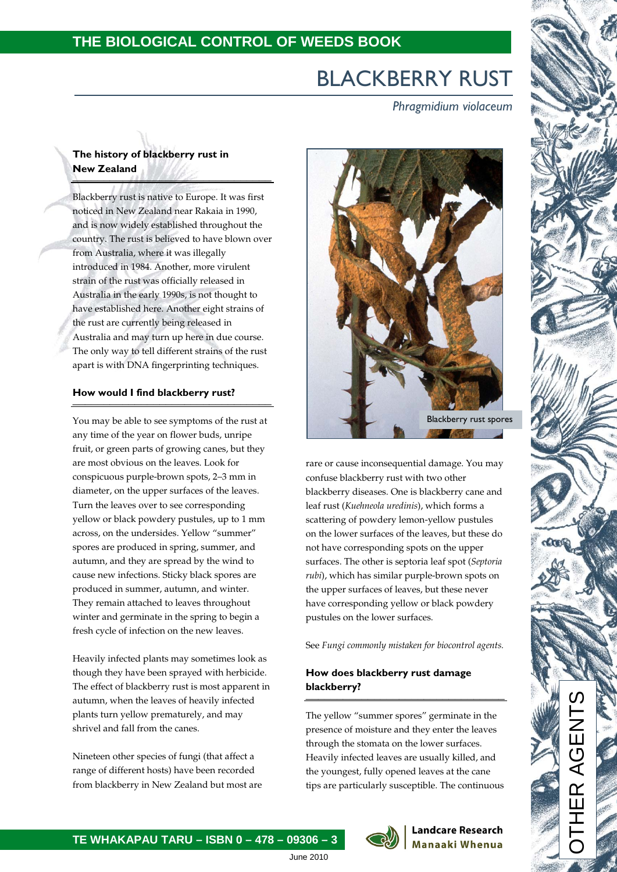### **THE BIOLOGICAL CONTROL OF WEEDS BOOK**

# BLACKBERRY RUST

 *Phragmidium violaceum*

### **The history of blackberry rust in New Zealand**

Blackberry rust is native to Europe. It was first noticed in New Zealand near Rakaia in 1990, and is now widely established throughout the country. The rust is believed to have blown over from Australia, where it was illegally introduced in 1984. Another, more virulent strain of the rust was officially released in Australia in the early 1990s, is not thought to have established here. Another eight strains of the rust are currently being released in Australia and may turn up here in due course. The only way to tell different strains of the rust apart is with DNA fingerprinting techniques.

# **How would I find blackberry rust?** \_\_\_\_\_\_\_\_\_\_\_\_\_\_\_\_\_\_\_\_\_\_\_\_\_\_\_\_\_\_\_\_

You may be able to see symptoms of the rust at any time of the year on flower buds, unripe fruit, or green parts of growing canes, but they are most obvious on the leaves. Look for conspicuous purple-brown spots, 2–3 mm in diameter, on the upper surfaces of the leaves. Turn the leaves over to see corresponding yellow or black powdery pustules, up to 1 mm across, on the undersides. Yellow "summer" spores are produced in spring, summer, and autumn, and they are spread by the wind to cause new infections. Sticky black spores are produced in summer, autumn, and winter. They remain attached to leaves throughout winter and germinate in the spring to begin a fresh cycle of infection on the new leaves.

Heavily infected plants may sometimes look as though they have been sprayed with herbicide. The effect of blackberry rust is most apparent in autumn, when the leaves of heavily infected plants turn yellow prematurely, and may shrivel and fall from the canes.

Nineteen other species of fungi (that affect a range of different hosts) have been recorded from blackberry in New Zealand but most are



rare or cause inconsequential damage. You may confuse blackberry rust with two other blackberry diseases. One is blackberry cane and leaf rust (*Kuehneola uredinis*), which forms a scattering of powdery lemon-yellow pustules on the lower surfaces of the leaves, but these do not have corresponding spots on the upper surfaces. The other is septoria leaf spot (*Septoria rubi*), which has similar purple-brown spots on the upper surfaces of leaves, but these never have corresponding yellow or black powdery pustules on the lower surfaces.

See *Fungi commonly mistaken for biocontrol agents.*

#### **How does blackberry rust damage blackberry?**  $\frac{1}{2}$

The yellow "summer spores" germinate in the presence of moisture and they enter the leaves through the stomata on the lower surfaces. Heavily infected leaves are usually killed, and the youngest, fully opened leaves at the cane tips are particularly susceptible. The continuous

> **Landcare Research Manaaki Whenua**



**TE WHAKAPAU TARU – ISBN 0 – 478 – 09306 – 3**